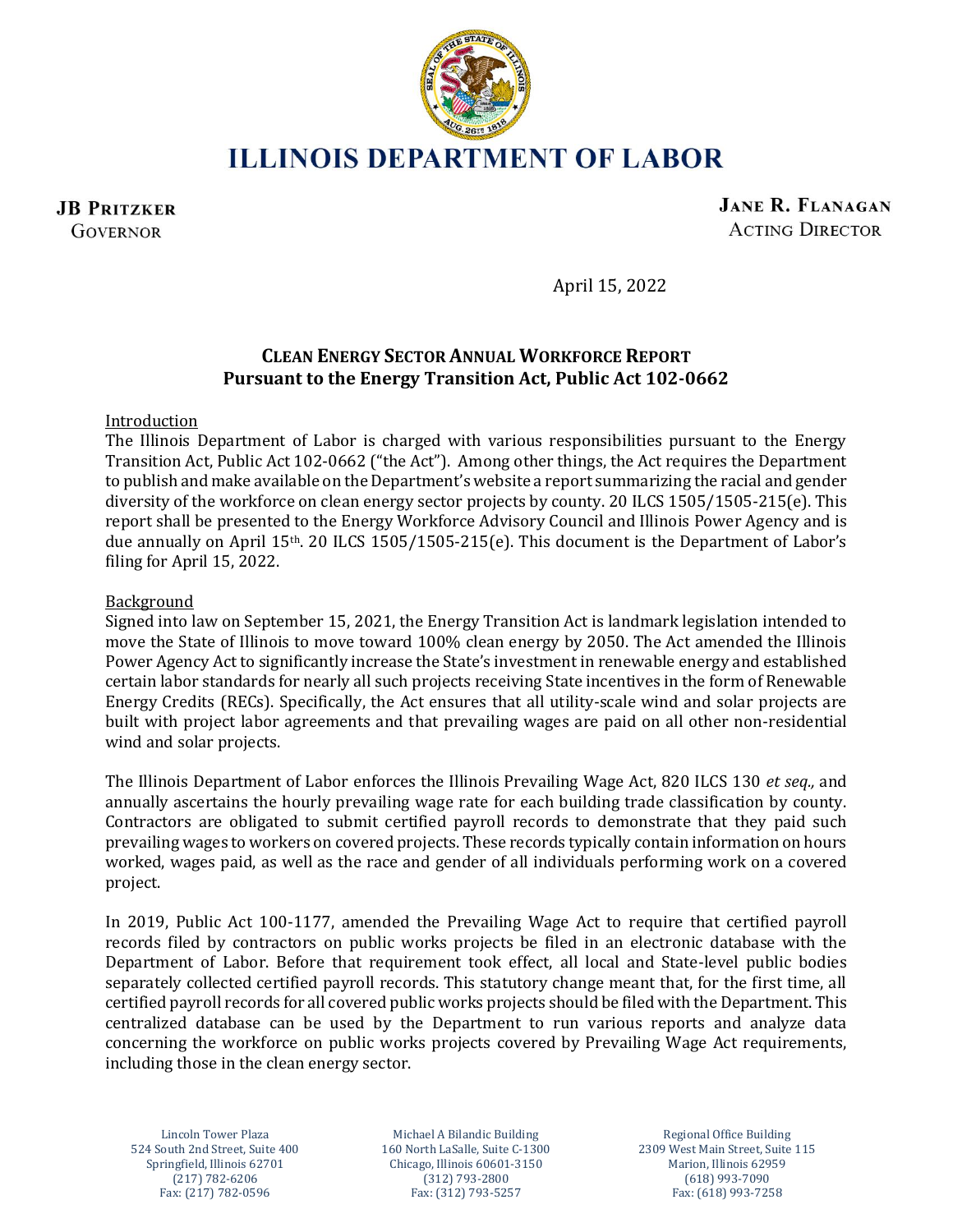

**ILLINOIS DEPARTMENT OF LABOR** 

**JB PRITZKER GOVERNOR** 

**JANE R. FLANAGAN ACTING DIRECTOR** 

April 15, 2022

# **CLEAN ENERGY SECTOR ANNUAL WORKFORCE REPORT Pursuant to the Energy Transition Act, Public Act 102-0662**

## Introduction

The Illinois Department of Labor is charged with various responsibilities pursuant to the Energy Transition Act, Public Act 102-0662 ("the Act"). Among other things, the Act requires the Department to publish and make available on the Department's website a report summarizing the racial and gender diversity of the workforce on clean energy sector projects by county. 20 ILCS 1505/1505-215(e). This report shall be presented to the Energy Workforce Advisory Council and Illinois Power Agency and is due annually on April 15th. 20 ILCS 1505/1505-215(e). This document is the Department of Labor's filing for April 15, 2022.

## Background

Signed into law on September 15, 2021, the Energy Transition Act is landmark legislation intended to move the State of Illinois to move toward 100% clean energy by 2050. The Act amended the Illinois Power Agency Act to significantly increase the State's investment in renewable energy and established certain labor standards for nearly all such projects receiving State incentives in the form of Renewable Energy Credits (RECs). Specifically, the Act ensures that all utility-scale wind and solar projects are built with project labor agreements and that prevailing wages are paid on all other non-residential wind and solar projects.

The Illinois Department of Labor enforces the Illinois Prevailing Wage Act, 820 ILCS 130 *et seq.,* and annually ascertains the hourly prevailing wage rate for each building trade classification by county. Contractors are obligated to submit certified payroll records to demonstrate that they paid such prevailing wages to workers on covered projects. These records typically contain information on hours worked, wages paid, as well as the race and gender of all individuals performing work on a covered project.

In 2019, Public Act 100-1177, amended the Prevailing Wage Act to require that certified payroll records filed by contractors on public works projects be filed in an electronic database with the Department of Labor. Before that requirement took effect, all local and State-level public bodies separately collected certified payroll records. This statutory change meant that, for the first time, all certified payroll records for all covered public works projects should be filed with the Department. This centralized database can be used by the Department to run various reports and analyze data concerning the workforce on public works projects covered by Prevailing Wage Act requirements, including those in the clean energy sector.

Lincoln Tower Plaza Michael A Bilandic Building Regional Office Building Springfield, Illinois 62701 Chicago, Illinois 60601-3150 (217) 782-6206 (312) 793-2800 Fax: (217) 782-0596 Fax: (312) 793-5257 Fax: (618) 993-7258

524 South 2nd Street, Suite 400 160 North LaSalle, Suite C-1300 2309 West Main Street, Suite 115 (618) 993-7090